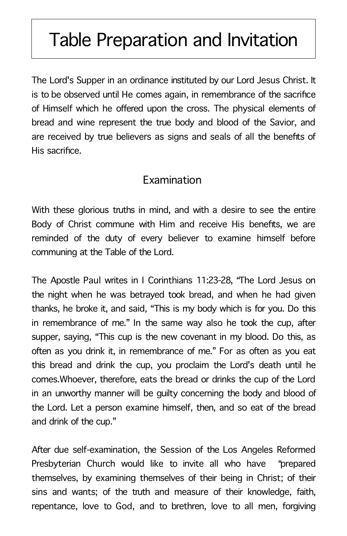## Table Preparation and Invitation

The Lord's Supper in an ordinance instituted by our Lord Jesus Christ. It is to be observed until He comes again, in remembrance of the sacrifice of Himself which he offered upon the cross. The physical elements of bread and wine represent the true body and blood of the Savior, and are received by true believers as signs and seals of all the benefits of His sacrifice.

## Examination

With these glorious truths in mind, and with a desire to see the entire Body of Christ commune with Him and receive His benefits, we are reminded of the duty of every believer to examine himself before communing at the Table of the Lord.

The Apostle Paul writes in I Corinthians 11:23-28, "The Lord Jesus on the night when he was betrayed took bread, and when he had given thanks, he broke it, and said, "This is my body which is for you. Do this in remembrance of me." In the same way also he took the cup, after supper, saying, "This cup is the new covenant in my blood. Do this, as often as you drink it, in remembrance of me." For as often as you eat this bread and drink the cup, you proclaim the Lord's death until he comes.Whoever, therefore, eats the bread or drinks the cup of the Lord in an unworthy manner will be guilty concerning the body and blood of the Lord. Let a person examine himself, then, and so eat of the bread and drink of the cup."

After due self-examination, the Session of the Los Angeles Reformed Presbyterian Church would like to invite all who have "prepared themselves, by examining themselves of their being in Christ; of their sins and wants; of the truth and measure of their knowledge, faith, repentance, love to God, and to brethren, love to all men, forgiving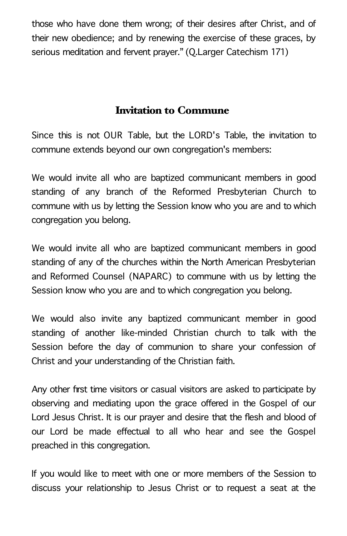those who have done them wrong; of their desires after Christ, and of their new obedience; and by renewing the exercise of these graces, by serious meditation and fervent prayer." (Q.Larger Catechism 171)

## Invitation to Commune

Since this is not OUR Table, but the LORD's Table, the invitation to commune extends beyond our own congregation's members:

We would invite all who are baptized communicant members in good standing of any branch of the Reformed Presbyterian Church to commune with us by letting the Session know who you are and to which congregation you belong.

We would invite all who are baptized communicant members in good standing of any of the churches within the North American Presbyterian and Reformed Counsel (NAPARC) to commune with us by letting the Session know who you are and to which congregation you belong.

We would also invite any baptized communicant member in good standing of another like-minded Christian church to talk with the Session before the day of communion to share your confession of Christ and your understanding of the Christian faith.

Any other first time visitors or casual visitors are asked to participate by observing and mediating upon the grace offered in the Gospel of our Lord Jesus Christ. It is our prayer and desire that the flesh and blood of our Lord be made effectual to all who hear and see the Gospel preached in this congregation.

If you would like to meet with one or more members of the Session to discuss your relationship to Jesus Christ or to request a seat at the